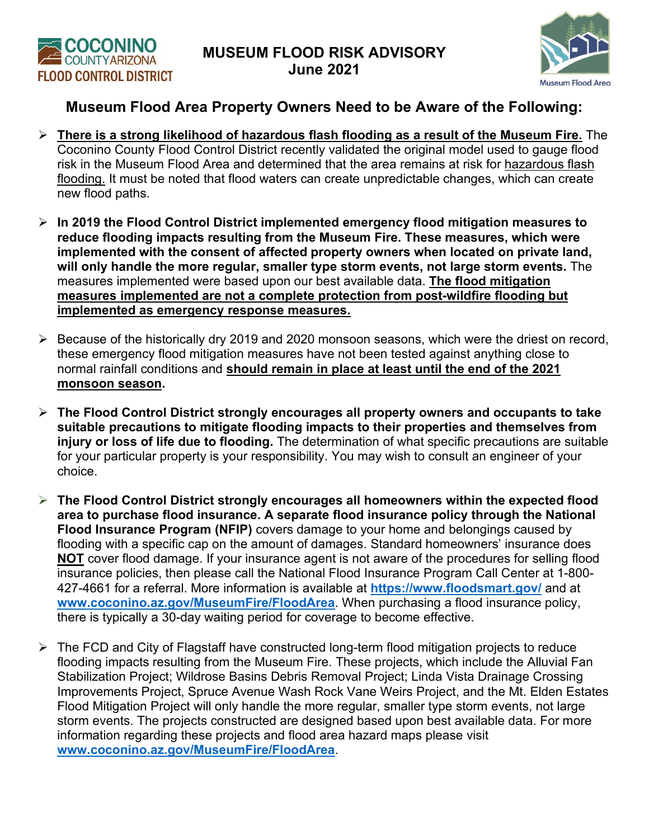



## **Museum Flood Area Property Owners Need to be Aware of the Following:**

- **There is a strong likelihood of hazardous flash flooding as a result of the Museum Fire.** The Coconino County Flood Control District recently validated the original model used to gauge flood risk in the Museum Flood Area and determined that the area remains at risk for hazardous flash flooding. It must be noted that flood waters can create unpredictable changes, which can create new flood paths.
- **In 2019 the Flood Control District implemented emergency flood mitigation measures to reduce flooding impacts resulting from the Museum Fire. These measures, which were implemented with the consent of affected property owners when located on private land, will only handle the more regular, smaller type storm events, not large storm events.** The measures implemented were based upon our best available data. **The flood mitigation measures implemented are not a complete protection from post-wildfire flooding but implemented as emergency response measures.**
- $\triangleright$  Because of the historically dry 2019 and 2020 monsoon seasons, which were the driest on record, these emergency flood mitigation measures have not been tested against anything close to normal rainfall conditions and **should remain in place at least until the end of the 2021 monsoon season.**
- **The Flood Control District strongly encourages all property owners and occupants to take suitable precautions to mitigate flooding impacts to their properties and themselves from injury or loss of life due to flooding.** The determination of what specific precautions are suitable for your particular property is your responsibility. You may wish to consult an engineer of your choice.
- **The Flood Control District strongly encourages all homeowners within the expected flood area to purchase flood insurance. A separate flood insurance policy through the National Flood Insurance Program (NFIP)** covers damage to your home and belongings caused by flooding with a specific cap on the amount of damages. Standard homeowners' insurance does **NOT** cover flood damage. If your insurance agent is not aware of the procedures for selling flood insurance policies, then please call the National Flood Insurance Program Call Center at 1-800- 427-4661 for a referral. More information is available at **<https://www.floodsmart.gov/>** and at **[www.coconino.az.gov/MuseumFire/FloodArea](http://www.coconino.az.gov/MuseumFire/FloodArea)**. When purchasing a flood insurance policy, there is typically a 30-day waiting period for coverage to become effective.
- $\triangleright$  The FCD and City of Flagstaff have constructed long-term flood mitigation projects to reduce flooding impacts resulting from the Museum Fire. These projects, which include the Alluvial Fan Stabilization Project; Wildrose Basins Debris Removal Project; Linda Vista Drainage Crossing Improvements Project, Spruce Avenue Wash Rock Vane Weirs Project, and the Mt. Elden Estates Flood Mitigation Project will only handle the more regular, smaller type storm events, not large storm events. The projects constructed are designed based upon best available data. For more information regarding these projects and flood area hazard maps please visit **[www.coconino.az.gov/MuseumFire/FloodArea](http://www.coconino.az.gov/MuseumFire/FloodArea)**.